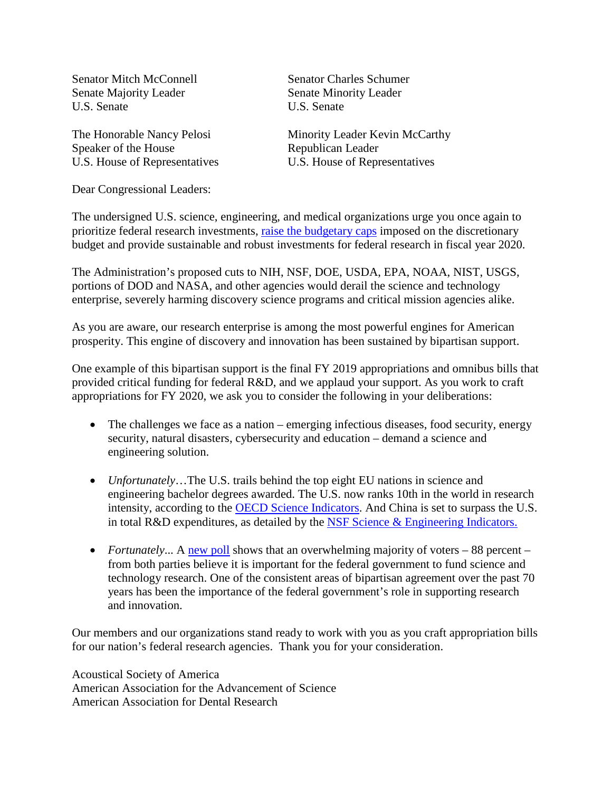Senator Mitch McConnell Senator Charles Schumer Senate Majority Leader Senate Minority Leader U.S. Senate U.S. Senate

U.S. House of Representatives

The Honorable Nancy Pelosi Minority Leader Kevin McCarthy Speaker of the House<br>
U.S. House of Representatives<br>
U.S. House of Representatives

Dear Congressional Leaders:

The undersigned U.S. science, engineering, and medical organizations urge you once again to prioritize federal research investments, [raise the budgetary caps](https://www.researchamerica.org/sites/default/files/ResearchAmericaRTCPrint2019.pdf) imposed on the discretionary budget and provide sustainable and robust investments for federal research in fiscal year 2020.

The Administration's proposed cuts to NIH, NSF, DOE, USDA, EPA, NOAA, NIST, USGS, portions of DOD and NASA, and other agencies would derail the science and technology enterprise, severely harming discovery science programs and critical mission agencies alike.

As you are aware, our research enterprise is among the most powerful engines for American prosperity. This engine of discovery and innovation has been sustained by bipartisan support.

One example of this bipartisan support is the final FY 2019 appropriations and omnibus bills that provided critical funding for federal R&D, and we applaud your support. As you work to craft appropriations for FY 2020, we ask you to consider the following in your deliberations:

- The challenges we face as a nation emerging infectious diseases, food security, energy security, natural disasters, cybersecurity and education – demand a science and engineering solution.
- *Unfortunately*…The U.S. trails behind the top eight EU nations in science and engineering bachelor degrees awarded. The U.S. now ranks 10th in the world in research intensity, according to the [OECD Science Indicators.](http://www.oecd.org/sti/msti.htm) And China is set to surpass the U.S. in total R&D expenditures, as detailed by the NSF Science  $&$  Engineering Indicators.
- *Fortunately...* A [new poll](https://hartresearch.com/wp-content/uploads/2019/01/Federal-Science-Funding.pdf) shows that an overwhelming majority of voters 88 percent from both parties believe it is important for the federal government to fund science and technology research. One of the consistent areas of bipartisan agreement over the past 70 years has been the importance of the federal government's role in supporting research and innovation.

Our members and our organizations stand ready to work with you as you craft appropriation bills for our nation's federal research agencies. Thank you for your consideration.

Acoustical Society of America American Association for the Advancement of Science American Association for Dental Research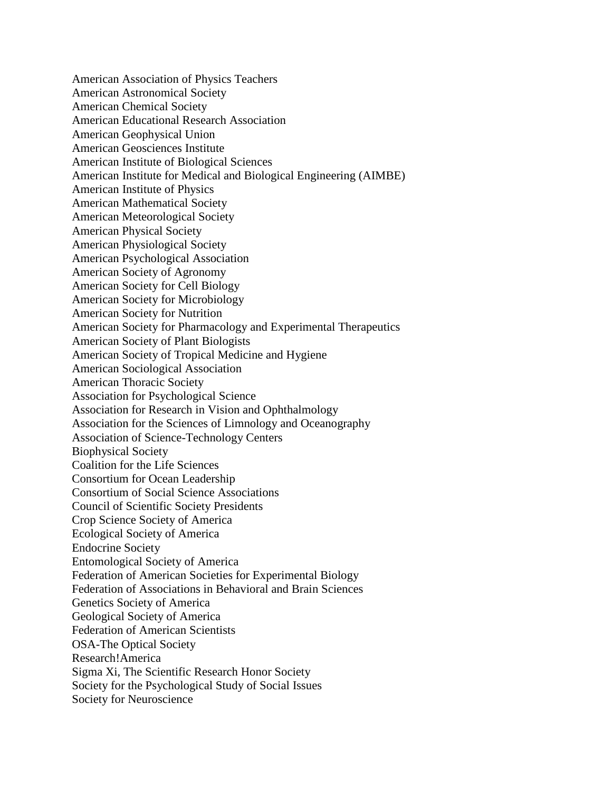American Association of Physics Teachers American Astronomical Society American Chemical Society American Educational Research Association American Geophysical Union American Geosciences Institute American Institute of Biological Sciences American Institute for Medical and Biological Engineering (AIMBE) American Institute of Physics American Mathematical Society American Meteorological Society American Physical Society American Physiological Society American Psychological Association American Society of Agronomy American Society for Cell Biology American Society for Microbiology American Society for Nutrition American Society for Pharmacology and Experimental Therapeutics American Society of Plant Biologists American Society of Tropical Medicine and Hygiene American Sociological Association American Thoracic Society Association for Psychological Science Association for Research in Vision and Ophthalmology Association for the Sciences of Limnology and Oceanography Association of Science-Technology Centers Biophysical Society Coalition for the Life Sciences Consortium for Ocean Leadership Consortium of Social Science Associations Council of Scientific Society Presidents Crop Science Society of America Ecological Society of America Endocrine Society Entomological Society of America Federation of American Societies for Experimental Biology Federation of Associations in Behavioral and Brain Sciences Genetics Society of America Geological Society of America Federation of American Scientists OSA-The Optical Society Research!America Sigma Xi, The Scientific Research Honor Society Society for the Psychological Study of Social Issues Society for Neuroscience